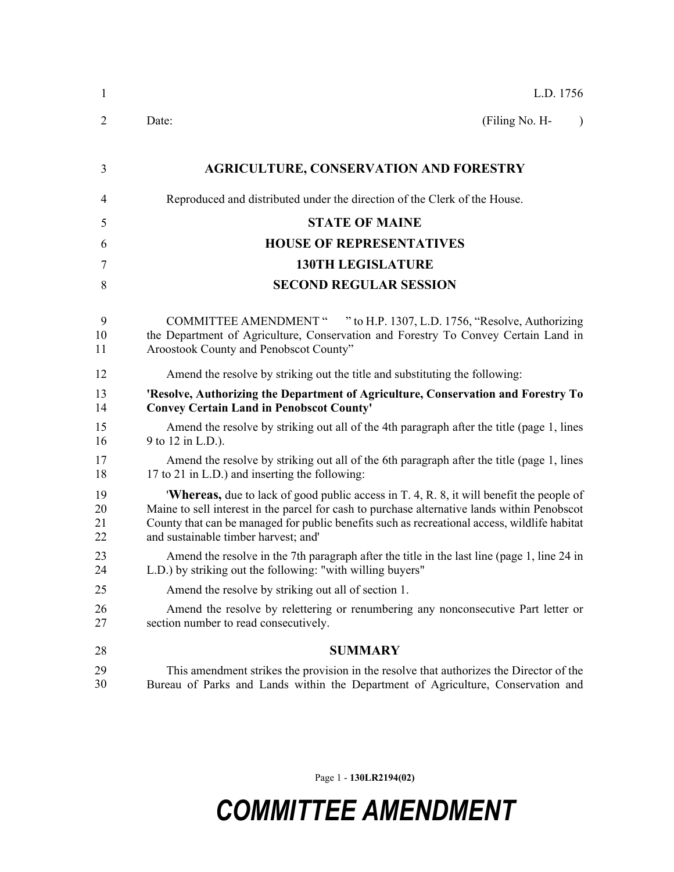| 1                    | L.D. 1756                                                                                                                                                                                                                                                                                                                              |  |
|----------------------|----------------------------------------------------------------------------------------------------------------------------------------------------------------------------------------------------------------------------------------------------------------------------------------------------------------------------------------|--|
| $\overline{2}$       | Date:<br>(Filing No. H-<br>$\lambda$                                                                                                                                                                                                                                                                                                   |  |
| 3                    | <b>AGRICULTURE, CONSERVATION AND FORESTRY</b>                                                                                                                                                                                                                                                                                          |  |
| 4                    | Reproduced and distributed under the direction of the Clerk of the House.                                                                                                                                                                                                                                                              |  |
| 5                    | <b>STATE OF MAINE</b>                                                                                                                                                                                                                                                                                                                  |  |
| 6                    | <b>HOUSE OF REPRESENTATIVES</b>                                                                                                                                                                                                                                                                                                        |  |
| 7                    | <b>130TH LEGISLATURE</b>                                                                                                                                                                                                                                                                                                               |  |
| 8                    | <b>SECOND REGULAR SESSION</b>                                                                                                                                                                                                                                                                                                          |  |
| 9<br>10<br>11        | COMMITTEE AMENDMENT " " to H.P. 1307, L.D. 1756, "Resolve, Authorizing<br>the Department of Agriculture, Conservation and Forestry To Convey Certain Land in<br>Aroostook County and Penobscot County"                                                                                                                                 |  |
| 12                   | Amend the resolve by striking out the title and substituting the following:                                                                                                                                                                                                                                                            |  |
| 13<br>14             | 'Resolve, Authorizing the Department of Agriculture, Conservation and Forestry To<br><b>Convey Certain Land in Penobscot County'</b>                                                                                                                                                                                                   |  |
| 15<br>16             | Amend the resolve by striking out all of the 4th paragraph after the title (page 1, lines<br>9 to 12 in L.D.).                                                                                                                                                                                                                         |  |
| 17<br>18             | Amend the resolve by striking out all of the 6th paragraph after the title (page 1, lines<br>17 to 21 in L.D.) and inserting the following:                                                                                                                                                                                            |  |
| 19<br>20<br>21<br>22 | <b>Whereas,</b> due to lack of good public access in T. 4, R. 8, it will benefit the people of<br>Maine to sell interest in the parcel for cash to purchase alternative lands within Penobscot<br>County that can be managed for public benefits such as recreational access, wildlife habitat<br>and sustainable timber harvest; and' |  |
| 23<br>24             | Amend the resolve in the 7th paragraph after the title in the last line (page 1, line 24 in<br>L.D.) by striking out the following: "with willing buyers"                                                                                                                                                                              |  |
| 25                   | Amend the resolve by striking out all of section 1.                                                                                                                                                                                                                                                                                    |  |
| 26<br>27             | Amend the resolve by relettering or renumbering any nonconsecutive Part letter or<br>section number to read consecutively.                                                                                                                                                                                                             |  |
| 28                   | <b>SUMMARY</b>                                                                                                                                                                                                                                                                                                                         |  |
| 29<br>30             | This amendment strikes the provision in the resolve that authorizes the Director of the<br>Bureau of Parks and Lands within the Department of Agriculture, Conservation and                                                                                                                                                            |  |

Page 1 - **130LR2194(02)**

## *COMMITTEE AMENDMENT*